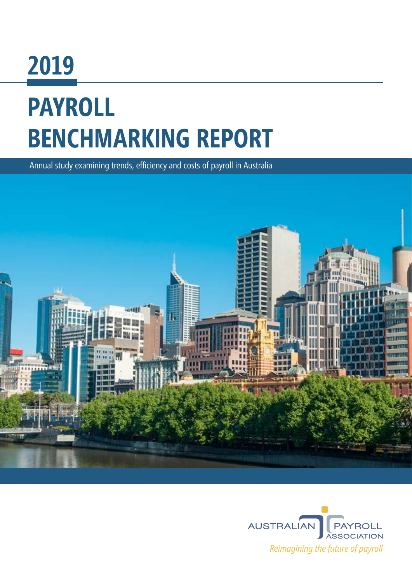# **2019 PAYROLL BENCHMARKING REPORT**

Annual study examining trends, efficiency and costs of payroll in Australia



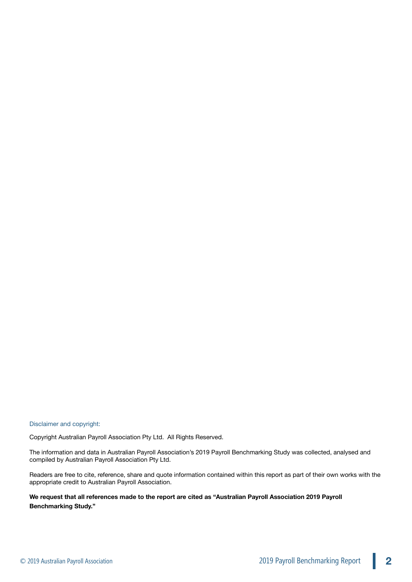Disclaimer and copyright:

Copyright Australian Payroll Association Pty Ltd. All Rights Reserved.

The information and data in Australian Payroll Association's 2019 Payroll Benchmarking Study was collected, analysed and compiled by Australian Payroll Association Pty Ltd.

Readers are free to cite, reference, share and quote information contained within this report as part of their own works with the appropriate credit to Australian Payroll Association.

**We request that all references made to the report are cited as "Australian Payroll Association 2019 Payroll Benchmarking Study."**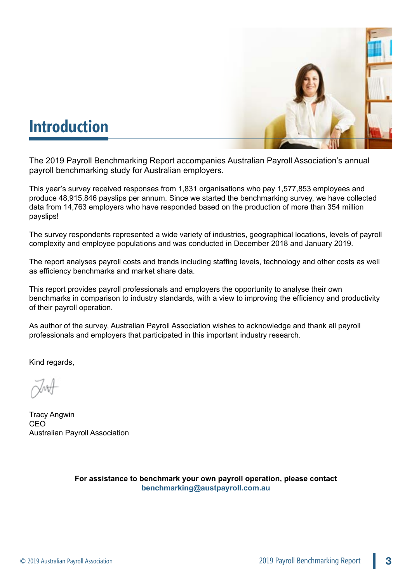

# **Introduction**

The 2019 Payroll Benchmarking Report accompanies Australian Payroll Association's annual payroll benchmarking study for Australian employers.

This year's survey received responses from 1,831 organisations who pay 1,577,853 employees and produce 48,915,846 payslips per annum. Since we started the benchmarking survey, we have collected data from 14,763 employers who have responded based on the production of more than 354 million payslips!

The survey respondents represented a wide variety of industries, geographical locations, levels of payroll complexity and employee populations and was conducted in December 2018 and January 2019.

The report analyses payroll costs and trends including staffing levels, technology and other costs as well as efficiency benchmarks and market share data.

This report provides payroll professionals and employers the opportunity to analyse their own benchmarks in comparison to industry standards, with a view to improving the efficiency and productivity of their payroll operation.

As author of the survey, Australian Payroll Association wishes to acknowledge and thank all payroll professionals and employers that participated in this important industry research.

Kind regards,

Tracy Angwin CEO Australian Payroll Association

**For assistance to benchmark your own payroll operation, please contact [benchmarking@austpayroll.com.au](mailto:benchmarking@austpayroll.com.au)**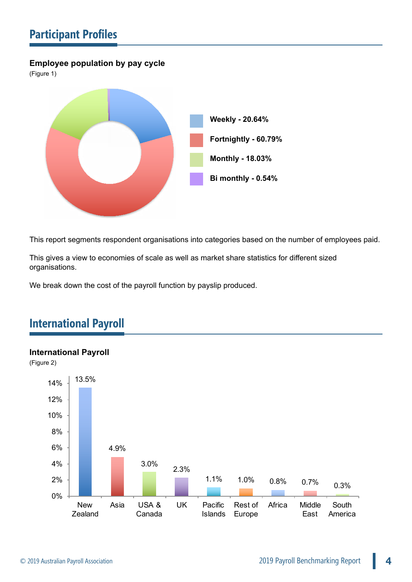# **Participant Profiles**

## **Employee population by pay cycle**

(Figure 1)



This report segments respondent organisations into categories based on the number of employees paid.

This gives a view to economies of scale as well as market share statistics for different sized organisations.

We break down the cost of the payroll function by payslip produced.

# **International Payroll**



## **International Payroll**

(Figure 2)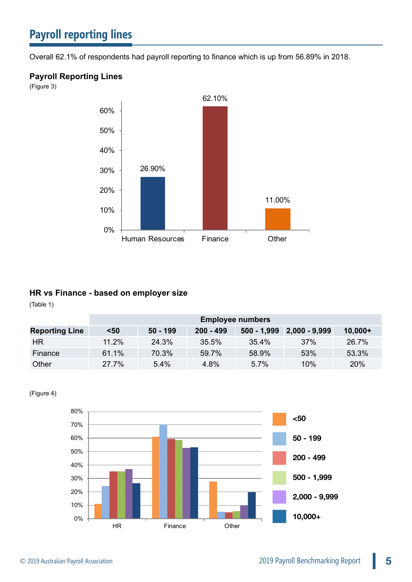Overall 62.1% of respondents had payroll reporting to finance which is up from 56.89% in 2018.

## **Payroll Reporting Lines**

(Figure 3)



## **HR vs Finance - based on employer size**

(Table 1)

|                       | <b>Employee numbers</b> |            |             |          |                             |           |  |  |
|-----------------------|-------------------------|------------|-------------|----------|-----------------------------|-----------|--|--|
| <b>Reporting Line</b> | $50$                    | $50 - 199$ | $200 - 499$ |          | $500 - 1,999$ 2,000 - 9,999 | $10,000+$ |  |  |
| <b>HR</b>             | 11.2%                   | 24.3%      | 35.5%       | $35.4\%$ | 37%                         | 26.7%     |  |  |
| Finance               | 61.1%                   | 70.3%      | 59.7%       | 58.9%    | 53%                         | 53.3%     |  |  |
| Other                 | 27.7%                   | $5.4\%$    | 4.8%        | 5.7%     | 10%                         | 20%       |  |  |

(Figure 4)

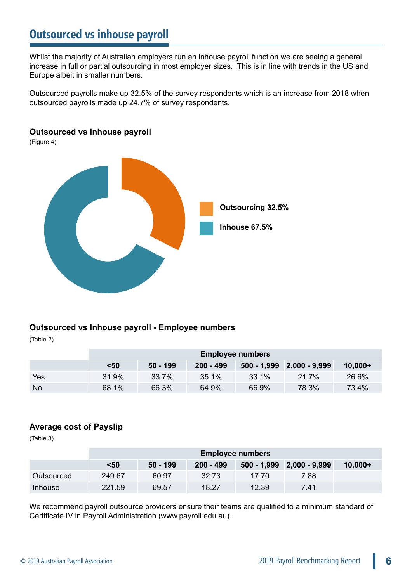# **Outsourced vs inhouse payroll**

Whilst the majority of Australian employers run an inhouse payroll function we are seeing a general increase in full or partial outsourcing in most employer sizes. This is in line with trends in the US and Europe albeit in smaller numbers.

Outsourced payrolls make up 32.5% of the survey respondents which is an increase from 2018 when outsourced payrolls made up 24.7% of survey respondents.

## **Outsourced vs Inhouse payroll**

(Figure 4)



## **Outsourced vs Inhouse payroll - Employee numbers**

(Table 2)

|            | <b>Employee numbers</b> |            |           |          |                             |           |  |  |  |
|------------|-------------------------|------------|-----------|----------|-----------------------------|-----------|--|--|--|
|            | $50$                    | $50 - 199$ | 200 - 499 |          | $500 - 1,999$ 2,000 - 9,999 | $10,000+$ |  |  |  |
| <b>Yes</b> | 31.9%                   | 33.7%      | 35.1%     | $33.1\%$ | $21.7\%$                    | 26.6%     |  |  |  |
| <b>No</b>  | 68.1%                   | 66.3%      | 64.9%     | 66.9%    | 78.3%                       | 73.4%     |  |  |  |

## **Average cost of Payslip**

(Table 3)

|            | <b>Employee numbers</b> |            |             |       |                             |            |  |  |  |
|------------|-------------------------|------------|-------------|-------|-----------------------------|------------|--|--|--|
|            | $50$                    | $50 - 199$ | $200 - 499$ |       | $500 - 1,999$ 2,000 - 9,999 | $10.000 +$ |  |  |  |
| Outsourced | 249.67                  | 60.97      | 32.73       | 17.70 | 7.88                        |            |  |  |  |
| Inhouse    | 221.59                  | 69.57      | 18.27       | 12.39 | 7.41                        |            |  |  |  |

We recommend payroll outsource providers ensure their teams are qualified to a minimum standard of Certificate IV in Payroll Administration (<www.payroll.edu.au>).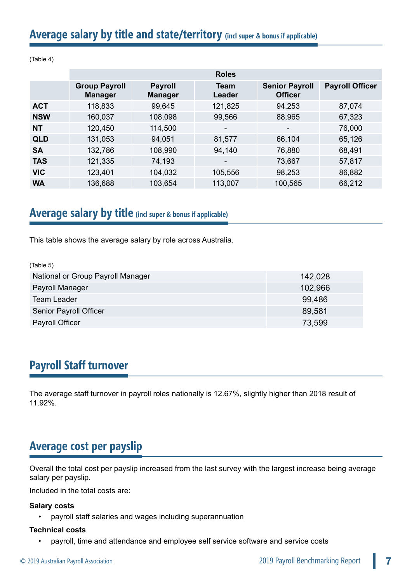# **Average salary by title and state/territory (incl super & bonus if applicable)**

|            | <b>Roles</b>                           |                                  |                          |                                         |                        |  |  |  |  |  |
|------------|----------------------------------------|----------------------------------|--------------------------|-----------------------------------------|------------------------|--|--|--|--|--|
|            | <b>Group Payroll</b><br><b>Manager</b> | <b>Payroll</b><br><b>Manager</b> | Team<br>Leader           | <b>Senior Payroll</b><br><b>Officer</b> | <b>Payroll Officer</b> |  |  |  |  |  |
| <b>ACT</b> | 118,833                                | 99,645                           | 121,825                  | 94,253                                  | 87,074                 |  |  |  |  |  |
| <b>NSW</b> | 160,037                                | 108,098                          | 99,566                   | 88,965                                  | 67,323                 |  |  |  |  |  |
| <b>NT</b>  | 120,450                                | 114,500                          | $\overline{\phantom{a}}$ | $\overline{\phantom{0}}$                | 76,000                 |  |  |  |  |  |
| <b>QLD</b> | 131,053                                | 94,051                           | 81,577                   | 66,104                                  | 65,126                 |  |  |  |  |  |
| <b>SA</b>  | 132,786                                | 108,990                          | 94,140                   | 76,880                                  | 68,491                 |  |  |  |  |  |
| <b>TAS</b> | 121,335                                | 74,193                           | $\overline{\phantom{a}}$ | 73,667                                  | 57,817                 |  |  |  |  |  |
| <b>VIC</b> | 123,401                                | 104,032                          | 105,556                  | 98,253                                  | 86,882                 |  |  |  |  |  |
| <b>WA</b>  | 136,688                                | 103,654                          | 113,007                  | 100,565                                 | 66,212                 |  |  |  |  |  |

(Table 4)

# **Average salary by title (incl super & bonus if applicable)**

This table shows the average salary by role across Australia.

| (Table 5)                         |         |
|-----------------------------------|---------|
| National or Group Payroll Manager | 142,028 |
| Payroll Manager                   | 102,966 |
| Team Leader                       | 99,486  |
| Senior Payroll Officer            | 89,581  |
| Payroll Officer                   | 73,599  |

# **Payroll Staff turnover**

The average staff turnover in payroll roles nationally is 12.67%, slightly higher than 2018 result of 11.92%.

# **Average cost per payslip**

Overall the total cost per payslip increased from the last survey with the largest increase being average salary per payslip.

Included in the total costs are:

## **Salary costs**

• payroll staff salaries and wages including superannuation

## **Technical costs**

• payroll, time and attendance and employee self service software and service costs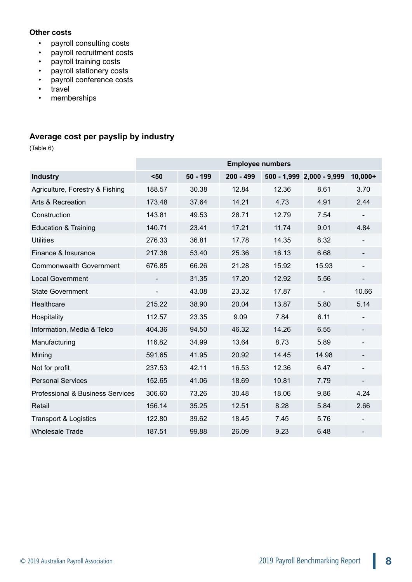## **Other costs**

- payroll consulting costs
- payroll recruitment costs
- payroll training costs
- payroll stationery costs
- payroll conference costs
- travel
- memberships

## **Average cost per payslip by industry**

(Table 6)

|                                             | <b>Employee numbers</b> |            |             |       |                           |                          |  |  |
|---------------------------------------------|-------------------------|------------|-------------|-------|---------------------------|--------------------------|--|--|
| <b>Industry</b>                             | $50$                    | $50 - 199$ | $200 - 499$ |       | 500 - 1,999 2,000 - 9,999 | $10,000+$                |  |  |
| Agriculture, Forestry & Fishing             | 188.57                  | 30.38      | 12.84       | 12.36 | 8.61                      | 3.70                     |  |  |
| Arts & Recreation                           | 173.48                  | 37.64      | 14.21       | 4.73  | 4.91                      | 2.44                     |  |  |
| Construction                                | 143.81                  | 49.53      | 28.71       | 12.79 | 7.54                      |                          |  |  |
| <b>Education &amp; Training</b>             | 140.71                  | 23.41      | 17.21       | 11.74 | 9.01                      | 4.84                     |  |  |
| <b>Utilities</b>                            | 276.33                  | 36.81      | 17.78       | 14.35 | 8.32                      |                          |  |  |
| Finance & Insurance                         | 217.38                  | 53.40      | 25.36       | 16.13 | 6.68                      | $\overline{\phantom{a}}$ |  |  |
| <b>Commonwealth Government</b>              | 676.85                  | 66.26      | 21.28       | 15.92 | 15.93                     |                          |  |  |
| <b>Local Government</b>                     |                         | 31.35      | 17.20       | 12.92 | 5.56                      | $\overline{\phantom{a}}$ |  |  |
| State Government                            |                         | 43.08      | 23.32       | 17.87 |                           | 10.66                    |  |  |
| Healthcare                                  | 215.22                  | 38.90      | 20.04       | 13.87 | 5.80                      | 5.14                     |  |  |
| Hospitality                                 | 112.57                  | 23.35      | 9.09        | 7.84  | 6.11                      |                          |  |  |
| Information, Media & Telco                  | 404.36                  | 94.50      | 46.32       | 14.26 | 6.55                      | -                        |  |  |
| Manufacturing                               | 116.82                  | 34.99      | 13.64       | 8.73  | 5.89                      | $\overline{\phantom{a}}$ |  |  |
| Mining                                      | 591.65                  | 41.95      | 20.92       | 14.45 | 14.98                     |                          |  |  |
| Not for profit                              | 237.53                  | 42.11      | 16.53       | 12.36 | 6.47                      | $\overline{\phantom{a}}$ |  |  |
| <b>Personal Services</b>                    | 152.65                  | 41.06      | 18.69       | 10.81 | 7.79                      |                          |  |  |
| <b>Professional &amp; Business Services</b> | 306.60                  | 73.26      | 30.48       | 18.06 | 9.86                      | 4.24                     |  |  |
| Retail                                      | 156.14                  | 35.25      | 12.51       | 8.28  | 5.84                      | 2.66                     |  |  |
| <b>Transport &amp; Logistics</b>            | 122.80                  | 39.62      | 18.45       | 7.45  | 5.76                      |                          |  |  |
| <b>Wholesale Trade</b>                      | 187.51                  | 99.88      | 26.09       | 9.23  | 6.48                      |                          |  |  |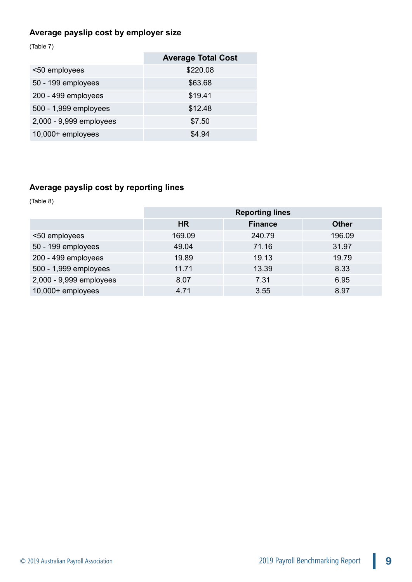## **Average payslip cost by employer size**

(Table 7)

|                         | <b>Average Total Cost</b> |
|-------------------------|---------------------------|
| <50 employees           | \$220.08                  |
| 50 - 199 employees      | \$63.68                   |
| 200 - 499 employees     | \$19.41                   |
| 500 - 1,999 employees   | \$12.48                   |
| 2,000 - 9,999 employees | \$7.50                    |
| 10,000+ employees       | \$4.94                    |

## **Average payslip cost by reporting lines**

(Table 8)

|                         | <b>Reporting lines</b> |                |              |  |  |  |  |
|-------------------------|------------------------|----------------|--------------|--|--|--|--|
|                         | <b>HR</b>              | <b>Finance</b> | <b>Other</b> |  |  |  |  |
| <50 employees           | 169.09                 | 240.79         | 196.09       |  |  |  |  |
| 50 - 199 employees      | 49.04                  | 71.16          | 31.97        |  |  |  |  |
| 200 - 499 employees     | 19.89                  | 19.13          | 19.79        |  |  |  |  |
| 500 - 1,999 employees   | 11.71                  | 13.39          | 8.33         |  |  |  |  |
| 2,000 - 9,999 employees | 8.07                   | 7.31           | 6.95         |  |  |  |  |
| 10,000+ employees       | 4.71                   | 3.55           | 8.97         |  |  |  |  |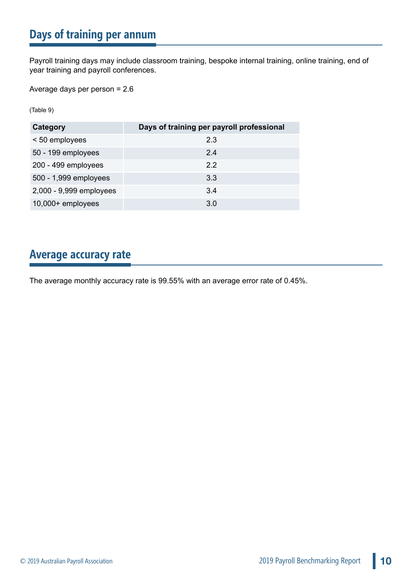# **Days of training per annum**

Payroll training days may include classroom training, bespoke internal training, online training, end of year training and payroll conferences.

Average days per person = 2.6

(Table 9)

| Category                | Days of training per payroll professional |
|-------------------------|-------------------------------------------|
| < 50 employees          | 2.3                                       |
| 50 - 199 employees      | 2.4                                       |
| 200 - 499 employees     | 22                                        |
| 500 - 1,999 employees   | 3.3                                       |
| 2,000 - 9,999 employees | 3.4                                       |
| 10,000+ employees       | 3.0                                       |

## **Average accuracy rate**

The average monthly accuracy rate is 99.55% with an average error rate of 0.45%.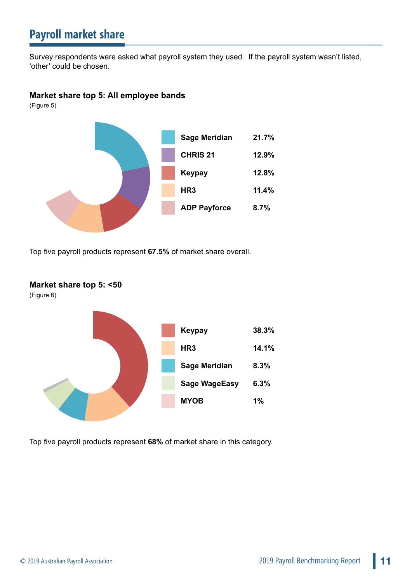# **Payroll market share**

Survey respondents were asked what payroll system they used. If the payroll system wasn't listed, 'other' could be chosen.

## **Market share top 5: All employee bands**

(Figure 5)



Top five payroll products represent **67.5%** of market share overall.



Top five payroll products represent **68%** of market share in this category.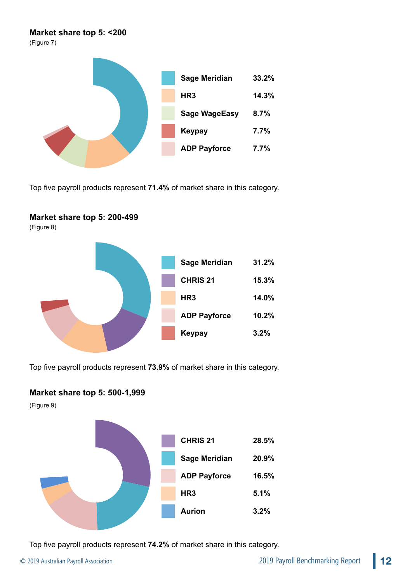## **Market share top 5: <200**

(Figure 7)



Top five payroll products represent **71.4%** of market share in this category.

## **Market share top 5: 200-499**

(Figure 8)



Top five payroll products represent **73.9%** of market share in this category.

## **Market share top 5: 500-1,999**

(Figure 9)



Top five payroll products represent **74.2%** of market share in this category.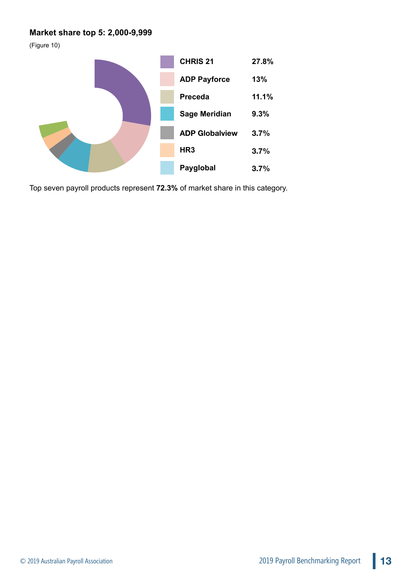## **Market share top 5: 2,000-9,999**

(Figure 10)



Top seven payroll products represent **72.3%** of market share in this category.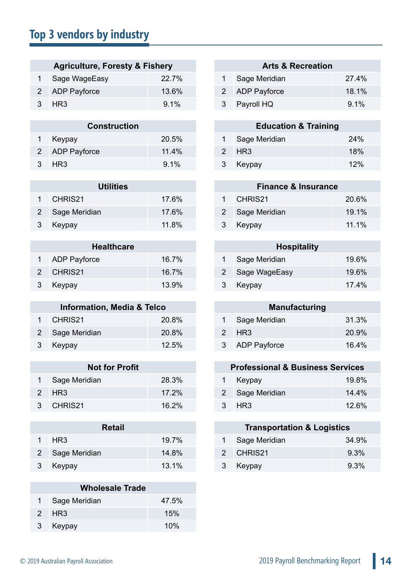# **Top 3 vendors by industry**

| <b>Agriculture, Foresty &amp; Fishery</b> |                 |         | <b>Arts &amp; Recreation</b> |                |       |  |
|-------------------------------------------|-----------------|---------|------------------------------|----------------|-------|--|
|                                           | 1 Sage WageEasy | 22.7%   |                              | Sage Meridian  | 27.4% |  |
|                                           | 2 ADP Payforce  | 13.6%   |                              | 2 ADP Payforce | 18.1% |  |
|                                           | 3 HR3           | $9.1\%$ |                              | 3 Payroll HQ   | 9.1%  |  |

| <b>Construction</b> |                |       | <b>Education &amp; Training</b> |               |     |  |
|---------------------|----------------|-------|---------------------------------|---------------|-----|--|
|                     | Keypay         | 20.5% |                                 | Sage Meridian | 24% |  |
|                     | 2 ADP Payforce | 11.4% |                                 | 2 HR3         | 18% |  |
|                     | 3 HR3          | 9.1%  |                                 | Keypay        | 12% |  |

| <b>Utilities</b> |                 |       | <b>Finance &amp; Insurance</b> |                 |       |  |
|------------------|-----------------|-------|--------------------------------|-----------------|-------|--|
|                  | CHRIS21         | 17.6% |                                | CHRIS21         | 20.6% |  |
|                  | 2 Sage Meridian | 17.6% |                                | 2 Sage Meridian | 19.1% |  |
|                  | Keypay          | 11.8% |                                | Keypay          | 11.1% |  |

| <b>Healthcare</b> |                     |       | <b>Hospitality</b> |                 |       |
|-------------------|---------------------|-------|--------------------|-----------------|-------|
|                   | <b>ADP Payforce</b> | 16.7% |                    | Sage Meridian   | 19.6% |
|                   | CHRIS21             | 16.7% |                    | 2 Sage WageEasy | 19.6% |
|                   | Keypay              | 13.9% |                    | Keypay          | 17.4% |

| <b>Information, Media &amp; Telco</b> |                 |       |  | <b>Manufacturing</b> |       |
|---------------------------------------|-----------------|-------|--|----------------------|-------|
|                                       | CHRIS21         | 20.8% |  | 1 Sage Meridian      | 31.3% |
|                                       | 2 Sage Meridian | 20.8% |  | 2 HR3                | 20.9% |
|                                       | 3 Keypay        | 12.5% |  | 3 ADP Payforce       | 16.4% |

| <b>Not for Profit</b> |               |          | <b>Professional &amp; Business Services</b> |                 |       |
|-----------------------|---------------|----------|---------------------------------------------|-----------------|-------|
|                       | Sage Meridian | 28.3%    |                                             | Keypay          | 19.8% |
|                       | 2 HR3         | $17.2\%$ |                                             | 2 Sage Meridian | 14.4% |
|                       | 3 CHRIS21     | 16.2%    |                                             | 3 HR3           | 12.6% |

| <b>Retail</b>   |          |  | <b>Transportation &amp; Logistics</b> |       |
|-----------------|----------|--|---------------------------------------|-------|
| HR <sub>3</sub> | $19.7\%$ |  | Sage Meridian                         | 34.9% |
| 2 Sage Meridian | 14.8%    |  | 2 CHRIS21                             | 9.3%  |
| Keypay          | 13.1%    |  | Keypay                                | 9.3%  |

| <b>Wholesale Trade</b> |                 |       |  |  |
|------------------------|-----------------|-------|--|--|
|                        | 1 Sage Meridian | 47.5% |  |  |
|                        | 2 HR3           | 15%   |  |  |
| 3                      | Keypay          | 10%   |  |  |

## **Arts & Recreation**

| 1 Sage Meridian | 27.4%   |
|-----------------|---------|
| 2 ADP Payforce  | 18.1%   |
| 3 Payroll HQ    | $9.1\%$ |

| <b>Construction</b> |         |  | <b>Education &amp; Training</b> |                 |     |  |  |
|---------------------|---------|--|---------------------------------|-----------------|-----|--|--|
|                     | 20.5%   |  |                                 | 1 Sage Meridian | 24% |  |  |
| prce                | 11.4%   |  |                                 | 2 HR3           | 18% |  |  |
|                     | $9.1\%$ |  |                                 | 3 Keypay        | 12% |  |  |

| <b>Utilities</b> |       | <b>Finance &amp; Insurance</b> |       |  |  |  |
|------------------|-------|--------------------------------|-------|--|--|--|
|                  | 17.6% | 1 CHRIS21                      | 20.6% |  |  |  |
|                  | 17.6% | 2 Sage Meridian                | 19.1% |  |  |  |
|                  | 11.8% | 3 Keypay                       | 11.1% |  |  |  |

| <b>Hospitality</b> |               |       |  |  |  |
|--------------------|---------------|-------|--|--|--|
| 1.                 | Sage Meridian | 19.6% |  |  |  |
| 2                  | Sage WageEasy | 19.6% |  |  |  |
| 3                  | Keypay        | 17.4% |  |  |  |

| <b>Manufacturing</b> |                     |       |  |  |
|----------------------|---------------------|-------|--|--|
| 1                    | Sage Meridian       | 31.3% |  |  |
|                      | 2 HR3               | 20.9% |  |  |
| 3 <sup>2</sup>       | <b>ADP Payforce</b> | 16.4% |  |  |

## **Not for Profit Professional & Business Services**

|   | 1 Keypay        | 19.8%    |
|---|-----------------|----------|
|   | 2 Sage Meridian | $14.4\%$ |
| 3 | HR3             | 12.6%    |

## **Transportation & Logistics**

| 1 Sage Meridian | 34.9%   |
|-----------------|---------|
| 2 CHRIS21       | $9.3\%$ |
| 3 Keypay        | $9.3\%$ |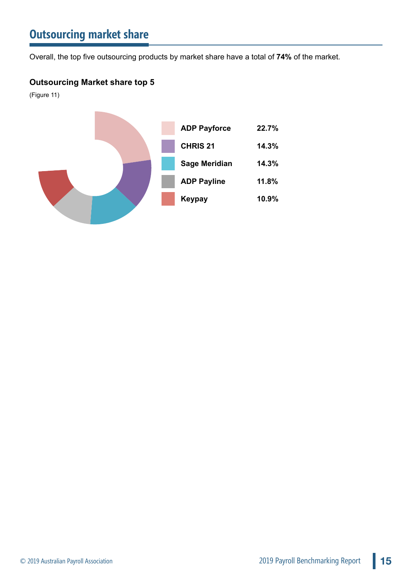# **Outsourcing market share**

Overall, the top five outsourcing products by market share have a total of **74%** of the market.

## **Outsourcing Market share top 5**

(Figure 11)

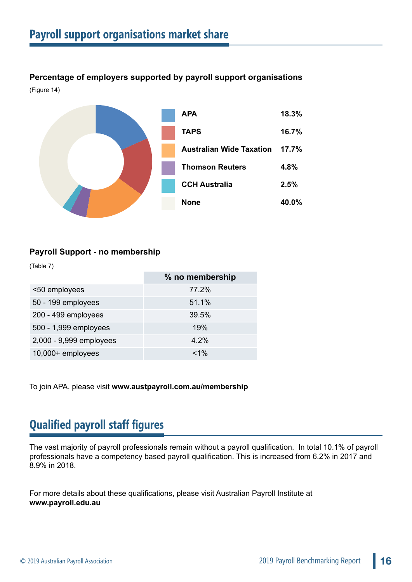**Percentage of employers supported by payroll support organisations** (Figure 14)



## **Payroll Support - no membership**

(Table 7)

|                         | % no membership |
|-------------------------|-----------------|
| <50 employees           | 77.2%           |
| 50 - 199 employees      | 51.1%           |
| 200 - 499 employees     | 39.5%           |
| 500 - 1,999 employees   | 19%             |
| 2,000 - 9,999 employees | 4.2%            |
| 10,000+ employees       | $< 1\%$         |

To join APA, please visit **<www.austpayroll.com.au/membership>**

# **Qualified payroll staff figures**

The vast majority of payroll professionals remain without a payroll qualification. In total 10.1% of payroll professionals have a competency based payroll qualification. This is increased from 6.2% in 2017 and 8.9% in 2018.

For more details about these qualifications, please visit Australian Payroll Institute at **[www.payroll.edu.au](https://www.payroll.edu.au/)**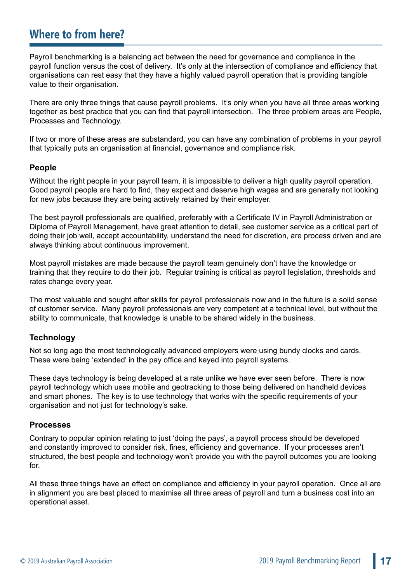# **Where to from here?**

Payroll benchmarking is a balancing act between the need for governance and compliance in the payroll function versus the cost of delivery. It's only at the intersection of compliance and efficiency that organisations can rest easy that they have a highly valued payroll operation that is providing tangible value to their organisation.

There are only three things that cause payroll problems. It's only when you have all three areas working together as best practice that you can find that payroll intersection. The three problem areas are People, Processes and Technology.

If two or more of these areas are substandard, you can have any combination of problems in your payroll that typically puts an organisation at financial, governance and compliance risk.

## **People**

Without the right people in your payroll team, it is impossible to deliver a high quality payroll operation. Good payroll people are hard to find, they expect and deserve high wages and are generally not looking for new jobs because they are being actively retained by their employer.

The best payroll professionals are qualified, preferably with a Certificate IV in Payroll Administration or Diploma of Payroll Management, have great attention to detail, see customer service as a critical part of doing their job well, accept accountability, understand the need for discretion, are process driven and are always thinking about continuous improvement.

Most payroll mistakes are made because the payroll team genuinely don't have the knowledge or training that they require to do their job. Regular training is critical as payroll legislation, thresholds and rates change every year.

The most valuable and sought after skills for payroll professionals now and in the future is a solid sense of customer service. Many payroll professionals are very competent at a technical level, but without the ability to communicate, that knowledge is unable to be shared widely in the business.

## **Technology**

Not so long ago the most technologically advanced employers were using bundy clocks and cards. These were being 'extended' in the pay office and keyed into payroll systems.

These days technology is being developed at a rate unlike we have ever seen before. There is now payroll technology which uses mobile and geotracking to those being delivered on handheld devices and smart phones. The key is to use technology that works with the specific requirements of your organisation and not just for technology's sake.

## **Processes**

Contrary to popular opinion relating to just 'doing the pays', a payroll process should be developed and constantly improved to consider risk, fines, efficiency and governance. If your processes aren't structured, the best people and technology won't provide you with the payroll outcomes you are looking for.

All these three things have an effect on compliance and efficiency in your payroll operation. Once all are in alignment you are best placed to maximise all three areas of payroll and turn a business cost into an operational asset.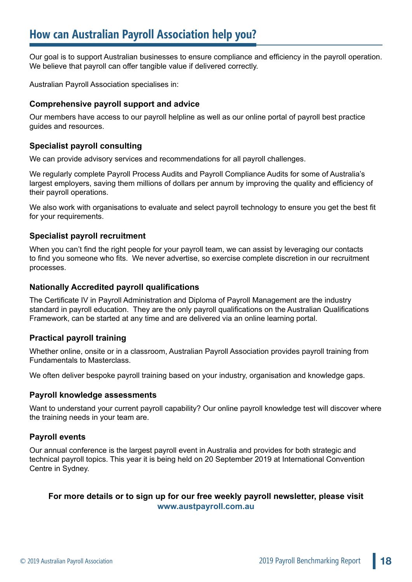Our goal is to support Australian businesses to ensure compliance and efficiency in the payroll operation. We believe that payroll can offer tangible value if delivered correctly.

Australian Payroll Association specialises in:

## **Comprehensive payroll support and advice**

Our members have access to our payroll helpline as well as our online portal of payroll best practice guides and resources.

## **Specialist payroll consulting**

We can provide advisory services and recommendations for all payroll challenges.

We regularly complete Payroll Process Audits and Payroll Compliance Audits for some of Australia's largest employers, saving them millions of dollars per annum by improving the quality and efficiency of their payroll operations.

We also work with organisations to evaluate and select payroll technology to ensure you get the best fit for your requirements.

## **Specialist payroll recruitment**

When you can't find the right people for your payroll team, we can assist by leveraging our contacts to find you someone who fits. We never advertise, so exercise complete discretion in our recruitment processes.

## **Nationally Accredited payroll qualifications**

The Certificate IV in Payroll Administration and Diploma of Payroll Management are the industry standard in payroll education. They are the only payroll qualifications on the Australian Qualifications Framework, can be started at any time and are delivered via an online learning portal.

## **Practical payroll training**

Whether online, onsite or in a classroom, Australian Payroll Association provides payroll training from Fundamentals to Masterclass.

We often deliver bespoke payroll training based on your industry, organisation and knowledge gaps.

## **Payroll knowledge assessments**

Want to understand your current payroll capability? Our online payroll knowledge test will discover where the training needs in your team are.

## **Payroll events**

Our annual conference is the largest payroll event in Australia and provides for both strategic and technical payroll topics. This year it is being held on 20 September 2019 at International Convention Centre in Sydney.

## **For more details or to sign up for our free weekly payroll newsletter, please visit [www.austpayroll.com.au](https://www.austpayroll.com.au/newsletter-sign-up/)**